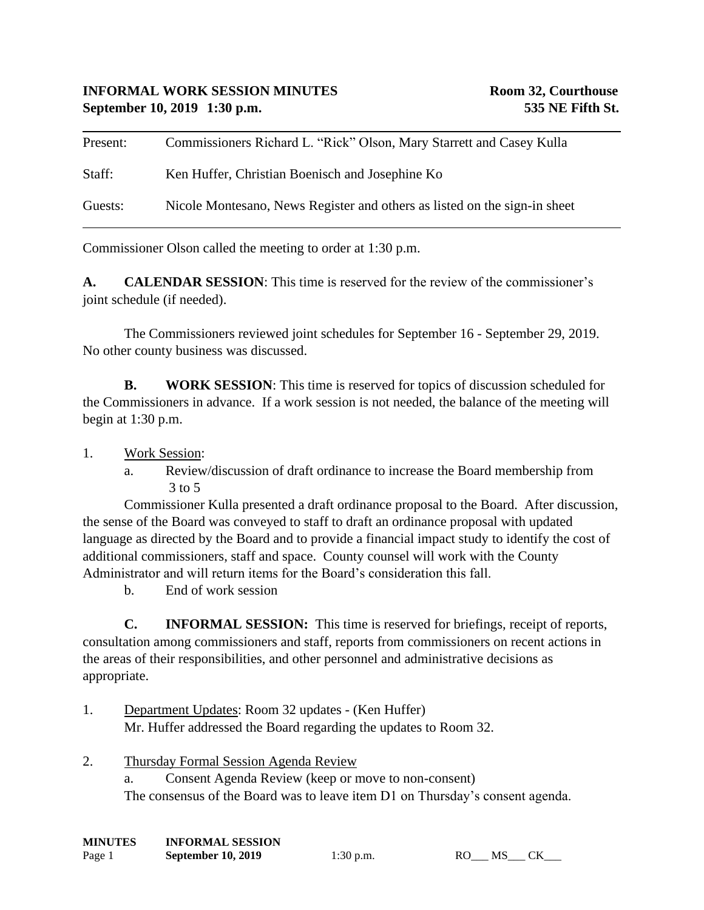| Present: | Commissioners Richard L. "Rick" Olson, Mary Starrett and Casey Kulla      |
|----------|---------------------------------------------------------------------------|
| Staff:   | Ken Huffer, Christian Boenisch and Josephine Ko                           |
| Guests:  | Nicole Montesano, News Register and others as listed on the sign-in sheet |

Commissioner Olson called the meeting to order at 1:30 p.m.

**A. CALENDAR SESSION**: This time is reserved for the review of the commissioner's joint schedule (if needed).

The Commissioners reviewed joint schedules for September 16 - September 29, 2019. No other county business was discussed.

**B. WORK SESSION**: This time is reserved for topics of discussion scheduled for the Commissioners in advance. If a work session is not needed, the balance of the meeting will begin at 1:30 p.m.

## 1. Work Session:

a. Review/discussion of draft ordinance to increase the Board membership from 3 to 5

Commissioner Kulla presented a draft ordinance proposal to the Board. After discussion, the sense of the Board was conveyed to staff to draft an ordinance proposal with updated language as directed by the Board and to provide a financial impact study to identify the cost of additional commissioners, staff and space. County counsel will work with the County Administrator and will return items for the Board's consideration this fall.

b. End of work session

**C. INFORMAL SESSION:** This time is reserved for briefings, receipt of reports, consultation among commissioners and staff, reports from commissioners on recent actions in the areas of their responsibilities, and other personnel and administrative decisions as appropriate.

- 1. Department Updates: Room 32 updates (Ken Huffer) Mr. Huffer addressed the Board regarding the updates to Room 32.
- 2. Thursday Formal Session Agenda Review

a. Consent Agenda Review (keep or move to non-consent) The consensus of the Board was to leave item D1 on Thursday's consent agenda.